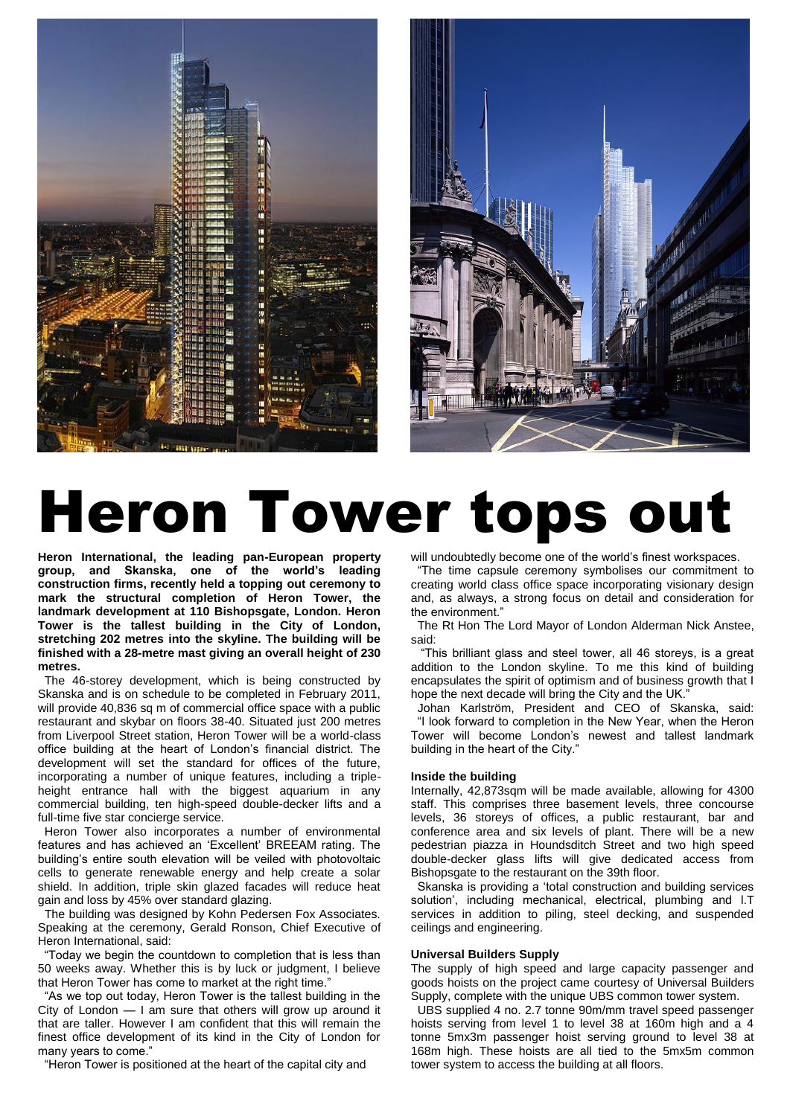



# Heron Tower tops out

**Heron International, the leading pan-European property group, and Skanska, one of the world's leading construction firms, recently held a topping out ceremony to mark the structural completion of Heron Tower, the landmark development at 110 Bishopsgate, London. Heron Tower is the tallest building in the City of London, stretching 202 metres into the skyline. The building will be finished with a 28-metre mast giving an overall height of 230 metres.**

 The 46-storey development, which is being constructed by Skanska and is on schedule to be completed in February 2011, will provide 40,836 sq m of commercial office space with a public restaurant and skybar on floors 38-40. Situated just 200 metres from Liverpool Street station, Heron Tower will be a world-class office building at the heart of London's financial district. The development will set the standard for offices of the future, incorporating a number of unique features, including a tripleheight entrance hall with the biggest aquarium in any commercial building, ten high-speed double-decker lifts and a full-time five star concierge service.

 Heron Tower also incorporates a number of environmental features and has achieved an 'Excellent' BREEAM rating. The building's entire south elevation will be veiled with photovoltaic cells to generate renewable energy and help create a solar shield. In addition, triple skin glazed facades will reduce heat gain and loss by 45% over standard glazing.

 The building was designed by Kohn Pedersen Fox Associates. Speaking at the ceremony, Gerald Ronson, Chief Executive of Heron International, said:

"Today we begin the countdown to completion that is less than 50 weeks away. Whether this is by luck or judgment, I believe that Heron Tower has come to market at the right time."

"As we top out today, Heron Tower is the tallest building in the City of London — I am sure that others will grow up around it that are taller. However I am confident that this will remain the finest office development of its kind in the City of London for many years to come."

"Heron Tower is positioned at the heart of the capital city and

will undoubtedly become one of the world's finest workspaces.

 ―The time capsule ceremony symbolises our commitment to creating world class office space incorporating visionary design and, as always, a strong focus on detail and consideration for the environment."

 The Rt Hon The Lord Mayor of London Alderman Nick Anstee, said:

 ―This brilliant glass and steel tower, all 46 storeys, is a great addition to the London skyline. To me this kind of building encapsulates the spirit of optimism and of business growth that I hope the next decade will bring the City and the UK.'

 Johan Karlström, President and CEO of Skanska, said: "I look forward to completion in the New Year, when the Heron Tower will become London's newest and tallest landmark building in the heart of the City."

### **Inside the building**

Internally, 42,873sqm will be made available, allowing for 4300 staff. This comprises three basement levels, three concourse levels, 36 storeys of offices, a public restaurant, bar and conference area and six levels of plant. There will be a new pedestrian piazza in Houndsditch Street and two high speed double-decker glass lifts will give dedicated access from Bishopsgate to the restaurant on the 39th floor.

Skanska is providing a 'total construction and building services solution', including mechanical, electrical, plumbing and I.T services in addition to piling, steel decking, and suspended ceilings and engineering.

# **Universal Builders Supply**

The supply of high speed and large capacity passenger and goods hoists on the project came courtesy of Universal Builders Supply, complete with the unique UBS common tower system.

 UBS supplied 4 no. 2.7 tonne 90m/mm travel speed passenger hoists serving from level 1 to level 38 at 160m high and a 4 tonne 5mx3m passenger hoist serving ground to level 38 at 168m high. These hoists are all tied to the 5mx5m common tower system to access the building at all floors.